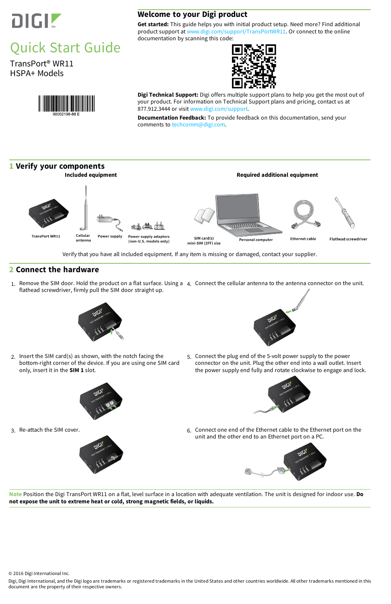

# Quick Start Guide

TransPort® WR11 HSPA+ Models



## **Welcome to your Digi product**

**Get started:** This guide helps you with initial product setup. Need more? Find additional product support at [www.digi.com/support/TransPortWR11](http://www.digi.com/support/TransPortWR11). Or connect to the online documentation by scanning this code:



**Digi Technical Support:** Digi offers multiple support plans to help you get the most out of your product. For information on Technical Support plans and pricing, contact us at 877.912.3444 or visit [www.digi.com/support.](http://www.digi.com/support)

1. Remove the SIM door. Hold the product on a flat surface. Using a 4. Connect the cellular antenna to the antenna connector on the unit. flathead screwdriver, firmly pull the SIM door straight up.



**Documentation Feedback:** To provide feedback on this documentation, send your comments to [techcomm@digi.com](mailto:techcomm@digi.com).

#### **1 Verify your components**



Verify that you have all included equipment. If any item is missing or damaged, contact your supplier.

3. Re-attach the SIM cover. **6. Connect one end of the Ethernet cable to the Ethernet port on the** unit and the other end to an Ethernet port on a PC.





#### **2 Connect the hardware**

2. Insert the SIM card(s) as shown, with the notch facing the bottom-right corner of the device. If you are using one SIM card only, insert it in the **SIM 1** slot.





5. Connect the plug end of the 5-volt power supply to the power connector on the unit. Plug the other end into a wall outlet. Insert the power supply end fully and rotate clockwise to engage and lock.



**Note** Position the Digi TransPort WR11 on a flat, level surface in a location with adequate ventilation. The unit is designed for indoor use. **Do not expose the unit to extreme heat or cold, strong magnetic fields, or liquids.**

© 2016 Digi International Inc.

Digi, Digi International, and the Digi logo are trademarks or registered trademarks in the United States and other countries worldwide. All other trademarks mentioned in this document are the property of their respective owners.